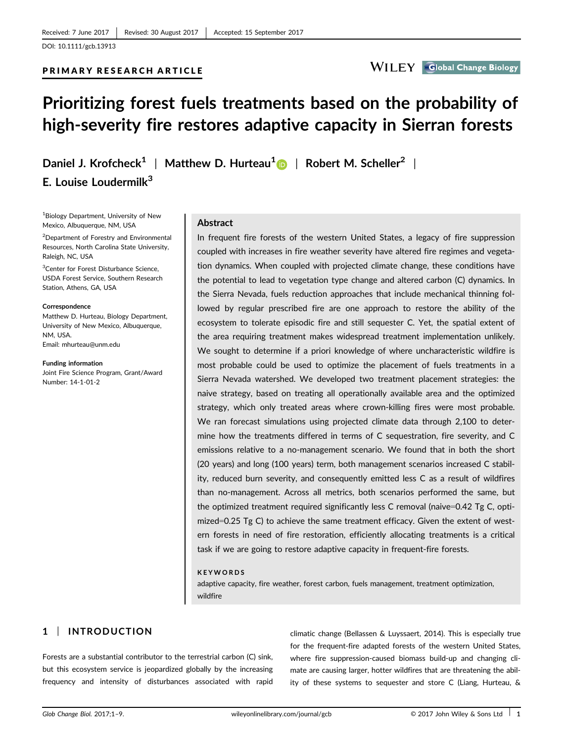PRIMARY RESEARCH ARTICLE

# **WILEY** Global Change Biology

# Prioritizing forest fuels treatments based on the probability of high-severity fire restores adaptive capacity in Sierran forests

Daniel J. Krofcheck<sup>1</sup> | Matthew D. Hurteau<sup>1</sup> | Robert M. Scheller<sup>2</sup> | E. Louise Loudermilk $3$ 

1 Biology Department, University of New Mexico, Albuquerque, NM, USA

<sup>2</sup>Department of Forestry and Environmental Resources, North Carolina State University, Raleigh, NC, USA

<sup>3</sup>Center for Forest Disturbance Science, USDA Forest Service, Southern Research Station, Athens, GA, USA

#### Correspondence

Matthew D. Hurteau, Biology Department, University of New Mexico, Albuquerque, NM, USA. Email: mhurteau@unm.edu

Funding information Joint Fire Science Program, Grant/Award Number: 14-1-01-2

#### Abstract

In frequent fire forests of the western United States, a legacy of fire suppression coupled with increases in fire weather severity have altered fire regimes and vegetation dynamics. When coupled with projected climate change, these conditions have the potential to lead to vegetation type change and altered carbon (C) dynamics. In the Sierra Nevada, fuels reduction approaches that include mechanical thinning followed by regular prescribed fire are one approach to restore the ability of the ecosystem to tolerate episodic fire and still sequester C. Yet, the spatial extent of the area requiring treatment makes widespread treatment implementation unlikely. We sought to determine if a priori knowledge of where uncharacteristic wildfire is most probable could be used to optimize the placement of fuels treatments in a Sierra Nevada watershed. We developed two treatment placement strategies: the naive strategy, based on treating all operationally available area and the optimized strategy, which only treated areas where crown-killing fires were most probable. We ran forecast simulations using projected climate data through 2,100 to determine how the treatments differed in terms of C sequestration, fire severity, and C emissions relative to a no-management scenario. We found that in both the short (20 years) and long (100 years) term, both management scenarios increased C stability, reduced burn severity, and consequently emitted less C as a result of wildfires than no-management. Across all metrics, both scenarios performed the same, but the optimized treatment required significantly less C removal (naive=0.42 Tg C, optimized=0.25 Tg C) to achieve the same treatment efficacy. Given the extent of western forests in need of fire restoration, efficiently allocating treatments is a critical task if we are going to restore adaptive capacity in frequent-fire forests.

#### KEYWORDS

adaptive capacity, fire weather, forest carbon, fuels management, treatment optimization, wildfire

# 1 | INTRODUCTION

Forests are a substantial contributor to the terrestrial carbon (C) sink, but this ecosystem service is jeopardized globally by the increasing frequency and intensity of disturbances associated with rapid

climatic change (Bellassen & Luyssaert, 2014). This is especially true for the frequent-fire adapted forests of the western United States, where fire suppression-caused biomass build-up and changing climate are causing larger, hotter wildfires that are threatening the ability of these systems to sequester and store C (Liang, Hurteau, &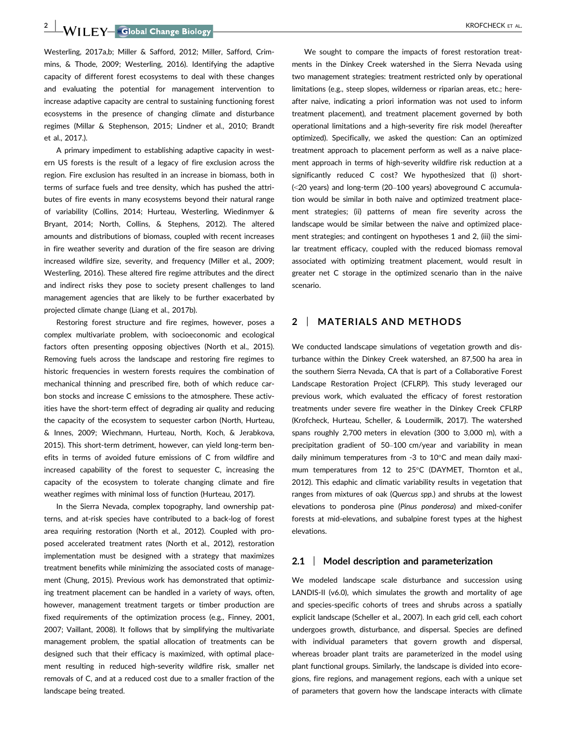**2 | WII FY Global Change Biology | Canadian Contract Contract COVID-NOTE CONTRACT AL.** 

Westerling, 2017a,b; Miller & Safford, 2012; Miller, Safford, Crimmins, & Thode, 2009; Westerling, 2016). Identifying the adaptive capacity of different forest ecosystems to deal with these changes and evaluating the potential for management intervention to increase adaptive capacity are central to sustaining functioning forest ecosystems in the presence of changing climate and disturbance regimes (Millar & Stephenson, 2015; Lindner et al., 2010; Brandt et al., 2017.).

A primary impediment to establishing adaptive capacity in western US forests is the result of a legacy of fire exclusion across the region. Fire exclusion has resulted in an increase in biomass, both in terms of surface fuels and tree density, which has pushed the attributes of fire events in many ecosystems beyond their natural range of variability (Collins, 2014; Hurteau, Westerling, Wiedinmyer & Bryant, 2014; North, Collins, & Stephens, 2012). The altered amounts and distributions of biomass, coupled with recent increases in fire weather severity and duration of the fire season are driving increased wildfire size, severity, and frequency (Miller et al., 2009; Westerling, 2016). These altered fire regime attributes and the direct and indirect risks they pose to society present challenges to land management agencies that are likely to be further exacerbated by projected climate change (Liang et al., 2017b).

Restoring forest structure and fire regimes, however, poses a complex multivariate problem, with socioeconomic and ecological factors often presenting opposing objectives (North et al., 2015). Removing fuels across the landscape and restoring fire regimes to historic frequencies in western forests requires the combination of mechanical thinning and prescribed fire, both of which reduce carbon stocks and increase C emissions to the atmosphere. These activities have the short-term effect of degrading air quality and reducing the capacity of the ecosystem to sequester carbon (North, Hurteau, & Innes, 2009; Wiechmann, Hurteau, North, Koch, & Jerabkova, 2015). This short-term detriment, however, can yield long-term benefits in terms of avoided future emissions of C from wildfire and increased capability of the forest to sequester C, increasing the capacity of the ecosystem to tolerate changing climate and fire weather regimes with minimal loss of function (Hurteau, 2017).

In the Sierra Nevada, complex topography, land ownership patterns, and at-risk species have contributed to a back-log of forest area requiring restoration (North et al., 2012). Coupled with proposed accelerated treatment rates (North et al., 2012), restoration implementation must be designed with a strategy that maximizes treatment benefits while minimizing the associated costs of management (Chung, 2015). Previous work has demonstrated that optimizing treatment placement can be handled in a variety of ways, often, however, management treatment targets or timber production are fixed requirements of the optimization process (e.g., Finney, 2001, 2007; Vaillant, 2008). It follows that by simplifying the multivariate management problem, the spatial allocation of treatments can be designed such that their efficacy is maximized, with optimal placement resulting in reduced high-severity wildfire risk, smaller net removals of C, and at a reduced cost due to a smaller fraction of the landscape being treated.

We sought to compare the impacts of forest restoration treatments in the Dinkey Creek watershed in the Sierra Nevada using two management strategies: treatment restricted only by operational limitations (e.g., steep slopes, wilderness or riparian areas, etc.; hereafter naive, indicating a priori information was not used to inform treatment placement), and treatment placement governed by both operational limitations and a high-severity fire risk model (hereafter optimized). Specifically, we asked the question: Can an optimized treatment approach to placement perform as well as a naive placement approach in terms of high-severity wildfire risk reduction at a significantly reduced C cost? We hypothesized that (i) short- (<20 years) and long-term (20–100 years) aboveground C accumulation would be similar in both naive and optimized treatment placement strategies; (ii) patterns of mean fire severity across the landscape would be similar between the naive and optimized placement strategies; and contingent on hypotheses 1 and 2, (iii) the similar treatment efficacy, coupled with the reduced biomass removal associated with optimizing treatment placement, would result in greater net C storage in the optimized scenario than in the naive scenario.

### 2 | MATERIALS AND METHODS

We conducted landscape simulations of vegetation growth and disturbance within the Dinkey Creek watershed, an 87,500 ha area in the southern Sierra Nevada, CA that is part of a Collaborative Forest Landscape Restoration Project (CFLRP). This study leveraged our previous work, which evaluated the efficacy of forest restoration treatments under severe fire weather in the Dinkey Creek CFLRP (Krofcheck, Hurteau, Scheller, & Loudermilk, 2017). The watershed spans roughly 2,700 meters in elevation (300 to 3,000 m), with a precipitation gradient of 50–100 cm/year and variability in mean daily minimum temperatures from -3 to 10°C and mean daily maximum temperatures from 12 to 25°C (DAYMET, Thornton et al., 2012). This edaphic and climatic variability results in vegetation that ranges from mixtures of oak (Quercus spp.) and shrubs at the lowest elevations to ponderosa pine (Pinus ponderosa) and mixed-conifer forests at mid-elevations, and subalpine forest types at the highest elevations.

#### 2.1 | Model description and parameterization

We modeled landscape scale disturbance and succession using LANDIS-II (v6.0), which simulates the growth and mortality of age and species-specific cohorts of trees and shrubs across a spatially explicit landscape (Scheller et al., 2007). In each grid cell, each cohort undergoes growth, disturbance, and dispersal. Species are defined with individual parameters that govern growth and dispersal, whereas broader plant traits are parameterized in the model using plant functional groups. Similarly, the landscape is divided into ecoregions, fire regions, and management regions, each with a unique set of parameters that govern how the landscape interacts with climate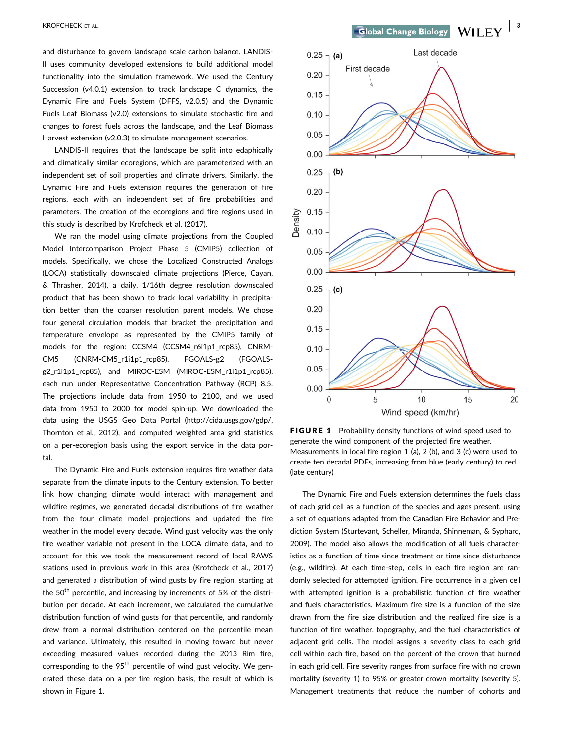and disturbance to govern landscape scale carbon balance. LANDIS-II uses community developed extensions to build additional model functionality into the simulation framework. We used the Century Succession (v4.0.1) extension to track landscape C dynamics, the Dynamic Fire and Fuels System (DFFS, v2.0.5) and the Dynamic Fuels Leaf Biomass (v2.0) extensions to simulate stochastic fire and changes to forest fuels across the landscape, and the Leaf Biomass Harvest extension (v2.0.3) to simulate management scenarios.

LANDIS-II requires that the landscape be split into edaphically and climatically similar ecoregions, which are parameterized with an independent set of soil properties and climate drivers. Similarly, the Dynamic Fire and Fuels extension requires the generation of fire regions, each with an independent set of fire probabilities and parameters. The creation of the ecoregions and fire regions used in this study is described by Krofcheck et al. (2017).

We ran the model using climate projections from the Coupled Model Intercomparison Project Phase 5 (CMIP5) collection of models. Specifically, we chose the Localized Constructed Analogs (LOCA) statistically downscaled climate projections (Pierce, Cayan, & Thrasher, 2014), a daily, 1/16th degree resolution downscaled product that has been shown to track local variability in precipitation better than the coarser resolution parent models. We chose four general circulation models that bracket the precipitation and temperature envelope as represented by the CMIP5 family of models for the region: CCSM4 (CCSM4\_r6i1p1\_rcp85), CNRM-CM5 (CNRM-CM5\_r1i1p1\_rcp85), FGOALS-g2 (FGOALSg2\_r1i1p1\_rcp85), and MIROC-ESM (MIROC-ESM\_r1i1p1\_rcp85), each run under Representative Concentration Pathway (RCP) 8.5. The projections include data from 1950 to 2100, and we used data from 1950 to 2000 for model spin-up. We downloaded the data using the USGS Geo Data Portal [\(http://cida.usgs.gov/gdp/,](http://cida.usgs.gov/gdp/) Thornton et al., 2012), and computed weighted area grid statistics on a per-ecoregion basis using the export service in the data portal.

The Dynamic Fire and Fuels extension requires fire weather data separate from the climate inputs to the Century extension. To better link how changing climate would interact with management and wildfire regimes, we generated decadal distributions of fire weather from the four climate model projections and updated the fire weather in the model every decade. Wind gust velocity was the only fire weather variable not present in the LOCA climate data, and to account for this we took the measurement record of local RAWS stations used in previous work in this area (Krofcheck et al., 2017) and generated a distribution of wind gusts by fire region, starting at the  $50<sup>th</sup>$  percentile, and increasing by increments of 5% of the distribution per decade. At each increment, we calculated the cumulative distribution function of wind gusts for that percentile, and randomly drew from a normal distribution centered on the percentile mean and variance. Ultimately, this resulted in moving toward but never exceeding measured values recorded during the 2013 Rim fire, corresponding to the 95<sup>th</sup> percentile of wind gust velocity. We generated these data on a per fire region basis, the result of which is shown in Figure 1.



FIGURE 1 Probability density functions of wind speed used to generate the wind component of the projected fire weather. Measurements in local fire region 1 (a), 2 (b), and 3 (c) were used to create ten decadal PDFs, increasing from blue (early century) to red (late century)

The Dynamic Fire and Fuels extension determines the fuels class of each grid cell as a function of the species and ages present, using a set of equations adapted from the Canadian Fire Behavior and Prediction System (Sturtevant, Scheller, Miranda, Shinneman, & Syphard, 2009). The model also allows the modification of all fuels characteristics as a function of time since treatment or time since disturbance (e.g., wildfire). At each time-step, cells in each fire region are randomly selected for attempted ignition. Fire occurrence in a given cell with attempted ignition is a probabilistic function of fire weather and fuels characteristics. Maximum fire size is a function of the size drawn from the fire size distribution and the realized fire size is a function of fire weather, topography, and the fuel characteristics of adjacent grid cells. The model assigns a severity class to each grid cell within each fire, based on the percent of the crown that burned in each grid cell. Fire severity ranges from surface fire with no crown mortality (severity 1) to 95% or greater crown mortality (severity 5). Management treatments that reduce the number of cohorts and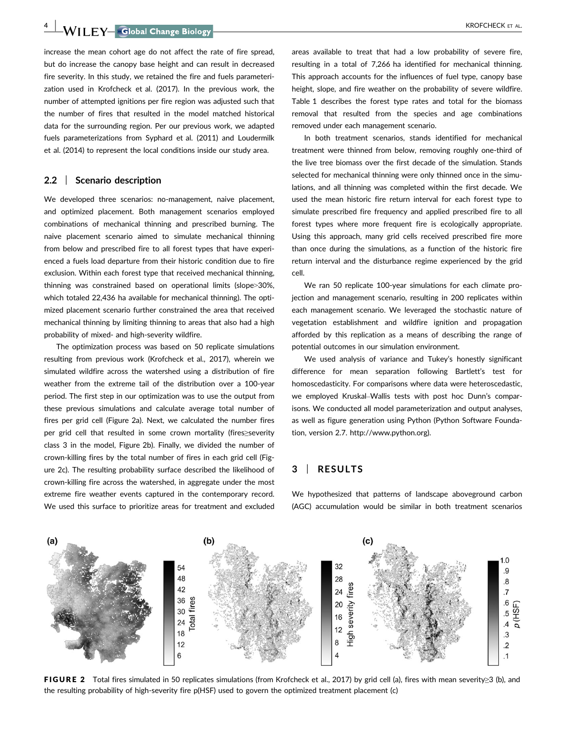4 WII FY Global Change Biology **Account Container to the COVID-STAL.** KROFCHECK ET AL.

increase the mean cohort age do not affect the rate of fire spread, but do increase the canopy base height and can result in decreased fire severity. In this study, we retained the fire and fuels parameterization used in Krofcheck et al. (2017). In the previous work, the number of attempted ignitions per fire region was adjusted such that the number of fires that resulted in the model matched historical data for the surrounding region. Per our previous work, we adapted fuels parameterizations from Syphard et al. (2011) and Loudermilk et al. (2014) to represent the local conditions inside our study area.

#### 2.2 | Scenario description

We developed three scenarios: no-management, naive placement, and optimized placement. Both management scenarios employed combinations of mechanical thinning and prescribed burning. The naive placement scenario aimed to simulate mechanical thinning from below and prescribed fire to all forest types that have experienced a fuels load departure from their historic condition due to fire exclusion. Within each forest type that received mechanical thinning, thinning was constrained based on operational limits (slope>30%, which totaled 22,436 ha available for mechanical thinning). The optimized placement scenario further constrained the area that received mechanical thinning by limiting thinning to areas that also had a high probability of mixed- and high-severity wildfire.

The optimization process was based on 50 replicate simulations resulting from previous work (Krofcheck et al., 2017), wherein we simulated wildfire across the watershed using a distribution of fire weather from the extreme tail of the distribution over a 100-year period. The first step in our optimization was to use the output from these previous simulations and calculate average total number of fires per grid cell (Figure 2a). Next, we calculated the number fires per grid cell that resulted in some crown mortality (fires≥severity class 3 in the model, Figure 2b). Finally, we divided the number of crown-killing fires by the total number of fires in each grid cell (Figure 2c). The resulting probability surface described the likelihood of crown-killing fire across the watershed, in aggregate under the most extreme fire weather events captured in the contemporary record. We used this surface to prioritize areas for treatment and excluded

areas available to treat that had a low probability of severe fire, resulting in a total of 7,266 ha identified for mechanical thinning. This approach accounts for the influences of fuel type, canopy base height, slope, and fire weather on the probability of severe wildfire. Table 1 describes the forest type rates and total for the biomass removal that resulted from the species and age combinations removed under each management scenario.

In both treatment scenarios, stands identified for mechanical treatment were thinned from below, removing roughly one-third of the live tree biomass over the first decade of the simulation. Stands selected for mechanical thinning were only thinned once in the simulations, and all thinning was completed within the first decade. We used the mean historic fire return interval for each forest type to simulate prescribed fire frequency and applied prescribed fire to all forest types where more frequent fire is ecologically appropriate. Using this approach, many grid cells received prescribed fire more than once during the simulations, as a function of the historic fire return interval and the disturbance regime experienced by the grid cell.

We ran 50 replicate 100-year simulations for each climate projection and management scenario, resulting in 200 replicates within each management scenario. We leveraged the stochastic nature of vegetation establishment and wildfire ignition and propagation afforded by this replication as a means of describing the range of potential outcomes in our simulation environment.

We used analysis of variance and Tukey's honestly significant difference for mean separation following Bartlett's test for homoscedasticity. For comparisons where data were heteroscedastic, we employed Kruskal–Wallis tests with post hoc Dunn's comparisons. We conducted all model parameterization and output analyses, as well as figure generation using Python (Python Software Foundation, version 2.7. [http://www.python.org\)](http://www.python.org).

## 3 | RESULTS



We hypothesized that patterns of landscape aboveground carbon (AGC) accumulation would be similar in both treatment scenarios

FIGURE 2 Total fires simulated in 50 replicates simulations (from Krofcheck et al., 2017) by grid cell (a), fires with mean severity≥3 (b), and the resulting probability of high-severity fire p(HSF) used to govern the optimized treatment placement (c)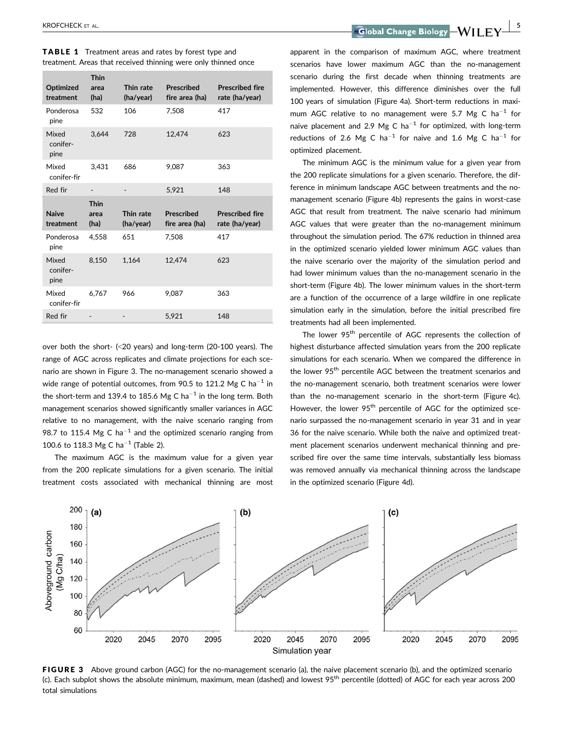| Optimized<br>treatment    | <b>Thin</b><br>area<br>(ha) | Thin rate<br>(ha/year) | <b>Prescribed</b><br>fire area (ha) | <b>Prescribed fire</b><br>rate (ha/year) |
|---------------------------|-----------------------------|------------------------|-------------------------------------|------------------------------------------|
| Ponderosa<br>pine         | 532                         | 106                    | 7,508                               | 417                                      |
| Mixed<br>conifer-<br>pine | 3,644                       | 728                    | 12,474                              | 623                                      |
| Mixed<br>conifer-fir      | 3.431                       | 686                    | 9.087                               | 363                                      |
| Red fir                   |                             |                        | 5,921                               | 148                                      |
|                           |                             |                        |                                     |                                          |
|                           | <b>Thin</b>                 |                        |                                     |                                          |
| <b>Naive</b><br>treatment | area<br>(ha)                | Thin rate<br>(ha/year) | <b>Prescribed</b><br>fire area (ha) | <b>Prescribed fire</b><br>rate (ha/year) |
| Ponderosa<br>pine         | 4,558                       | 651                    | 7,508                               | 417                                      |
| Mixed<br>conifer-<br>pine | 8.150                       | 1,164                  | 12,474                              | 623                                      |
| Mixed<br>conifer-fir      | 6,767                       | 966                    | 9,087                               | 363                                      |

TABLE 1 Treatment areas and rates by forest type and treatment. Areas that received thinning were only thinned once

over both the short- (<20 years) and long-term (20-100 years). The range of AGC across replicates and climate projections for each scenario are shown in Figure 3. The no-management scenario showed a wide range of potential outcomes, from 90.5 to 121.2 Mg C ha<sup>-1</sup> in the short-term and 139.4 to 185.6 Mg C ha<sup>-1</sup> in the long term. Both management scenarios showed significantly smaller variances in AGC relative to no management, with the naive scenario ranging from 98.7 to 115.4 Mg C ha<sup>-1</sup> and the optimized scenario ranging from 100.6 to 118.3 Mg C ha<sup>-1</sup> (Table 2).

The maximum AGC is the maximum value for a given year from the 200 replicate simulations for a given scenario. The initial treatment costs associated with mechanical thinning are most

KROFCHECK ET AL.<br><u>| Sidobal Change Biology | Sidobal Change Biology | Sidobal Change Biology | Sidobal Change Biology</u>

apparent in the comparison of maximum AGC, where treatment scenarios have lower maximum AGC than the no-management scenario during the first decade when thinning treatments are implemented. However, this difference diminishes over the full 100 years of simulation (Figure 4a). Short-term reductions in maximum AGC relative to no management were 5.7 Mg C ha<sup>-1</sup> for naive placement and 2.9 Mg C ha<sup>-1</sup> for optimized, with long-term reductions of 2.6 Mg C ha<sup>-1</sup> for naive and 1.6 Mg C ha<sup>-1</sup> for optimized placement.

The minimum AGC is the minimum value for a given year from the 200 replicate simulations for a given scenario. Therefore, the difference in minimum landscape AGC between treatments and the nomanagement scenario (Figure 4b) represents the gains in worst-case AGC that result from treatment. The naive scenario had minimum AGC values that were greater than the no-management minimum throughout the simulation period. The 67% reduction in thinned area in the optimized scenario yielded lower minimum AGC values than the naive scenario over the majority of the simulation period and had lower minimum values than the no-management scenario in the short-term (Figure 4b). The lower minimum values in the short-term are a function of the occurrence of a large wildfire in one replicate simulation early in the simulation, before the initial prescribed fire treatments had all been implemented.

The lower 95<sup>th</sup> percentile of AGC represents the collection of highest disturbance affected simulation years from the 200 replicate simulations for each scenario. When we compared the difference in the lower 95<sup>th</sup> percentile AGC between the treatment scenarios and the no-management scenario, both treatment scenarios were lower than the no-management scenario in the short-term (Figure 4c). However, the lower 95<sup>th</sup> percentile of AGC for the optimized scenario surpassed the no-management scenario in year 31 and in year 36 for the naive scenario. While both the naive and optimized treatment placement scenarios underwent mechanical thinning and prescribed fire over the same time intervals, substantially less biomass was removed annually via mechanical thinning across the landscape in the optimized scenario (Figure 4d).



FIGURE 3 Above ground carbon (AGC) for the no-management scenario (a), the naive placement scenario (b), and the optimized scenario (c). Each subplot shows the absolute minimum, maximum, mean (dashed) and lowest  $95<sup>th</sup>$  percentile (dotted) of AGC for each year across 200 total simulations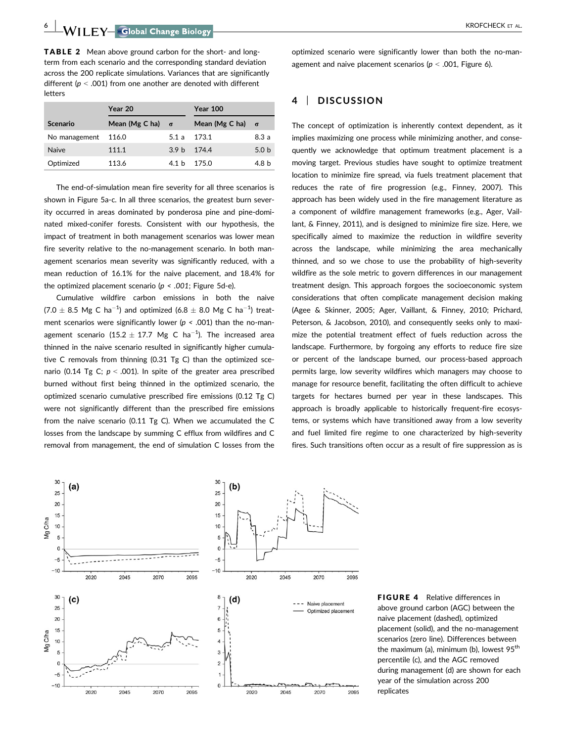-WII F.Y Global Change Biology – All Annual Change Biology – All Annual Changes (State AL.

TABLE 2 Mean above ground carbon for the short- and longterm from each scenario and the corresponding standard deviation across the 200 replicate simulations. Variances that are significantly different ( $p < .001$ ) from one another are denoted with different letters

|               | Year 20                 |                  | <b>Year 100</b>         |                  |
|---------------|-------------------------|------------------|-------------------------|------------------|
| Scenario      | Mean (Mg C ha) $\sigma$ |                  | Mean (Mg C ha) $\sigma$ |                  |
| No management | 116.0                   | 5.1 a            | 173.1                   | 8.3a             |
| <b>Naive</b>  | 111.1                   | 3.9 <sub>h</sub> | 174.4                   | 5.0 <sub>b</sub> |
| Optimized     | 113.6                   | 4.1 h            | 175 O                   | 4.8 b            |

The end-of-simulation mean fire severity for all three scenarios is shown in Figure 5a-c. In all three scenarios, the greatest burn severity occurred in areas dominated by ponderosa pine and pine-dominated mixed-conifer forests. Consistent with our hypothesis, the impact of treatment in both management scenarios was lower mean fire severity relative to the no-management scenario. In both management scenarios mean severity was significantly reduced, with a mean reduction of 16.1% for the naive placement, and 18.4% for the optimized placement scenario ( $p < .001$ ; Figure 5d-e).

Cumulative wildfire carbon emissions in both the naive  $(7.0 \pm 8.5 \text{ Mg C ha}^{-1})$  and optimized  $(6.8 \pm 8.0 \text{ Mg C ha}^{-1})$  treatment scenarios were significantly lower ( $p < .001$ ) than the no-management scenario (15.2  $\pm$  17.7 Mg C ha<sup>-1</sup>). The increased area thinned in the naive scenario resulted in significantly higher cumulative C removals from thinning (0.31 Tg C) than the optimized scenario (0.14 Tg C;  $p < .001$ ). In spite of the greater area prescribed burned without first being thinned in the optimized scenario, the optimized scenario cumulative prescribed fire emissions (0.12 Tg C) were not significantly different than the prescribed fire emissions from the naive scenario (0.11 Tg C). When we accumulated the C losses from the landscape by summing C efflux from wildfires and C removal from management, the end of simulation C losses from the optimized scenario were significantly lower than both the no-management and naive placement scenarios ( $p < .001$ , Figure 6).

## 4 | DISCUSSION

The concept of optimization is inherently context dependent, as it implies maximizing one process while minimizing another, and consequently we acknowledge that optimum treatment placement is a moving target. Previous studies have sought to optimize treatment location to minimize fire spread, via fuels treatment placement that reduces the rate of fire progression (e.g., Finney, 2007). This approach has been widely used in the fire management literature as a component of wildfire management frameworks (e.g., Ager, Vaillant, & Finney, 2011), and is designed to minimize fire size. Here, we specifically aimed to maximize the reduction in wildfire severity across the landscape, while minimizing the area mechanically thinned, and so we chose to use the probability of high-severity wildfire as the sole metric to govern differences in our management treatment design. This approach forgoes the socioeconomic system considerations that often complicate management decision making (Agee & Skinner, 2005; Ager, Vaillant, & Finney, 2010; Prichard, Peterson, & Jacobson, 2010), and consequently seeks only to maximize the potential treatment effect of fuels reduction across the landscape. Furthermore, by forgoing any efforts to reduce fire size or percent of the landscape burned, our process-based approach permits large, low severity wildfires which managers may choose to manage for resource benefit, facilitating the often difficult to achieve targets for hectares burned per year in these landscapes. This approach is broadly applicable to historically frequent-fire ecosystems, or systems which have transitioned away from a low severity and fuel limited fire regime to one characterized by high-severity fires. Such transitions often occur as a result of fire suppression as is



FIGURE 4 Relative differences in above ground carbon (AGC) between the naive placement (dashed), optimized placement (solid), and the no-management scenarios (zero line). Differences between the maximum (a), minimum (b), lowest  $95<sup>th</sup>$ percentile (c), and the AGC removed during management (d) are shown for each year of the simulation across 200 replicates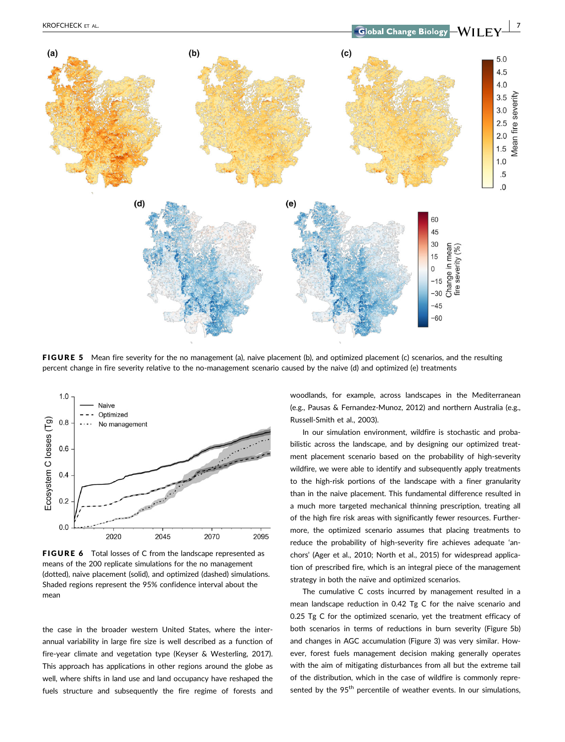

FIGURE 5 Mean fire severity for the no management (a), naive placement (b), and optimized placement (c) scenarios, and the resulting percent change in fire severity relative to the no-management scenario caused by the naive (d) and optimized (e) treatments



FIGURE 6 Total losses of C from the landscape represented as means of the 200 replicate simulations for the no management (dotted), naive placement (solid), and optimized (dashed) simulations. Shaded regions represent the 95% confidence interval about the mean

the case in the broader western United States, where the interannual variability in large fire size is well described as a function of fire-year climate and vegetation type (Keyser & Westerling, 2017). This approach has applications in other regions around the globe as well, where shifts in land use and land occupancy have reshaped the fuels structure and subsequently the fire regime of forests and woodlands, for example, across landscapes in the Mediterranean (e.g., Pausas & Fernandez-Munoz, 2012) and northern Australia (e.g., Russell-Smith et al., 2003).

In our simulation environment, wildfire is stochastic and probabilistic across the landscape, and by designing our optimized treatment placement scenario based on the probability of high-severity wildfire, we were able to identify and subsequently apply treatments to the high-risk portions of the landscape with a finer granularity than in the naive placement. This fundamental difference resulted in a much more targeted mechanical thinning prescription, treating all of the high fire risk areas with significantly fewer resources. Furthermore, the optimized scenario assumes that placing treatments to reduce the probability of high-severity fire achieves adequate 'anchors' (Ager et al., 2010; North et al., 2015) for widespread application of prescribed fire, which is an integral piece of the management strategy in both the naïve and optimized scenarios.

The cumulative C costs incurred by management resulted in a mean landscape reduction in 0.42 Tg C for the naive scenario and 0.25 Tg C for the optimized scenario, yet the treatment efficacy of both scenarios in terms of reductions in burn severity (Figure 5b) and changes in AGC accumulation (Figure 3) was very similar. However, forest fuels management decision making generally operates with the aim of mitigating disturbances from all but the extreme tail of the distribution, which in the case of wildfire is commonly represented by the  $95<sup>th</sup>$  percentile of weather events. In our simulations,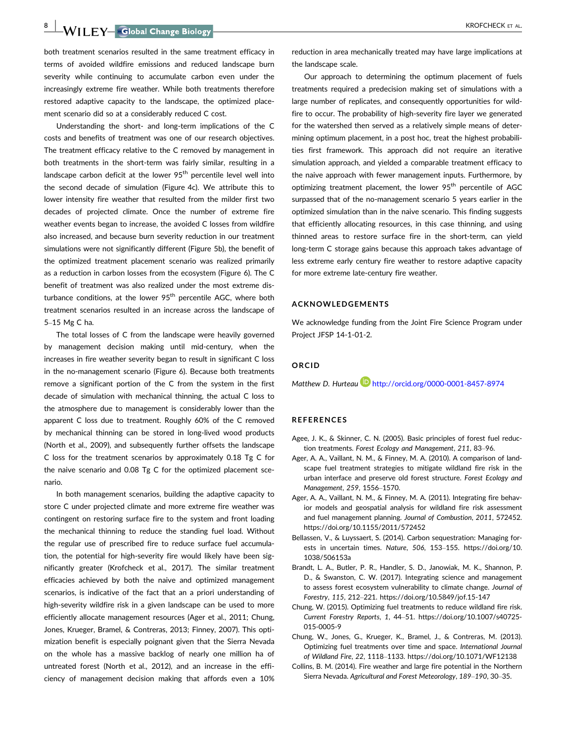8 WII FY Global Change Biology **Contract Contract Contract Contract Contract Contract Contract Contract Contract Contract Contract Contract Contract Contract Contract Contract Contract Contract Contract Contract Contract C** 

both treatment scenarios resulted in the same treatment efficacy in terms of avoided wildfire emissions and reduced landscape burn severity while continuing to accumulate carbon even under the increasingly extreme fire weather. While both treatments therefore restored adaptive capacity to the landscape, the optimized placement scenario did so at a considerably reduced C cost.

Understanding the short- and long-term implications of the C costs and benefits of treatment was one of our research objectives. The treatment efficacy relative to the C removed by management in both treatments in the short-term was fairly similar, resulting in a landscape carbon deficit at the lower  $95<sup>th</sup>$  percentile level well into the second decade of simulation (Figure 4c). We attribute this to lower intensity fire weather that resulted from the milder first two decades of projected climate. Once the number of extreme fire weather events began to increase, the avoided C losses from wildfire also increased, and because burn severity reduction in our treatment simulations were not significantly different (Figure 5b), the benefit of the optimized treatment placement scenario was realized primarily as a reduction in carbon losses from the ecosystem (Figure 6). The C benefit of treatment was also realized under the most extreme disturbance conditions, at the lower  $95<sup>th</sup>$  percentile AGC, where both treatment scenarios resulted in an increase across the landscape of 5–15 Mg C ha.

The total losses of C from the landscape were heavily governed by management decision making until mid-century, when the increases in fire weather severity began to result in significant C loss in the no-management scenario (Figure 6). Because both treatments remove a significant portion of the C from the system in the first decade of simulation with mechanical thinning, the actual C loss to the atmosphere due to management is considerably lower than the apparent C loss due to treatment. Roughly 60% of the C removed by mechanical thinning can be stored in long-lived wood products (North et al., 2009), and subsequently further offsets the landscape C loss for the treatment scenarios by approximately 0.18 Tg C for the naive scenario and 0.08 Tg C for the optimized placement scenario.

In both management scenarios, building the adaptive capacity to store C under projected climate and more extreme fire weather was contingent on restoring surface fire to the system and front loading the mechanical thinning to reduce the standing fuel load. Without the regular use of prescribed fire to reduce surface fuel accumulation, the potential for high-severity fire would likely have been significantly greater (Krofcheck et al., 2017). The similar treatment efficacies achieved by both the naive and optimized management scenarios, is indicative of the fact that an a priori understanding of high-severity wildfire risk in a given landscape can be used to more efficiently allocate management resources (Ager et al., 2011; Chung, Jones, Krueger, Bramel, & Contreras, 2013; Finney, 2007). This optimization benefit is especially poignant given that the Sierra Nevada on the whole has a massive backlog of nearly one million ha of untreated forest (North et al., 2012), and an increase in the efficiency of management decision making that affords even a 10% reduction in area mechanically treated may have large implications at the landscape scale.

Our approach to determining the optimum placement of fuels treatments required a predecision making set of simulations with a large number of replicates, and consequently opportunities for wildfire to occur. The probability of high-severity fire layer we generated for the watershed then served as a relatively simple means of determining optimum placement, in a post hoc, treat the highest probabilities first framework. This approach did not require an iterative simulation approach, and yielded a comparable treatment efficacy to the naive approach with fewer management inputs. Furthermore, by optimizing treatment placement, the lower 95<sup>th</sup> percentile of AGC surpassed that of the no-management scenario 5 years earlier in the optimized simulation than in the naive scenario. This finding suggests that efficiently allocating resources, in this case thinning, and using thinned areas to restore surface fire in the short-term, can yield long-term C storage gains because this approach takes advantage of less extreme early century fire weather to restore adaptive capacity for more extreme late-century fire weather.

#### ACKNOWLEDGEMENTS

We acknowledge funding from the Joint Fire Science Program under Project JFSP 14-1-01-2.

#### ORCID

Matthew D. Hurteau **http://orcid.org/0000-0001-8457-8974** 

#### **REFERENCES**

- Agee, J. K., & Skinner, C. N. (2005). Basic principles of forest fuel reduction treatments. Forest Ecology and Management, 211, 83–96.
- Ager, A. A., Vaillant, N. M., & Finney, M. A. (2010). A comparison of landscape fuel treatment strategies to mitigate wildland fire risk in the urban interface and preserve old forest structure. Forest Ecology and Management, 259, 1556–1570.
- Ager, A. A., Vaillant, N. M., & Finney, M. A. (2011). Integrating fire behavior models and geospatial analysis for wildland fire risk assessment and fuel management planning. Journal of Combustion, 2011, 572452. <https://doi.org/10.1155/2011/572452>
- Bellassen, V., & Luyssaert, S. (2014). Carbon sequestration: Managing forests in uncertain times. Nature, 506, 153–155. [https://doi.org/10.](https://doi.org/10.1038/506153a) [1038/506153a](https://doi.org/10.1038/506153a)
- Brandt, L. A., Butler, P. R., Handler, S. D., Janowiak, M. K., Shannon, P. D., & Swanston, C. W. (2017). Integrating science and management to assess forest ecosystem vulnerability to climate change. Journal of Forestry, 115, 212–221.<https://doi.org/10.5849/jof.15-147>
- Chung, W. (2015). Optimizing fuel treatments to reduce wildland fire risk. Current Forestry Reports, 1, 44–51. [https://doi.org/10.1007/s40725-](https://doi.org/10.1007/s40725-015-0005-9) [015-0005-9](https://doi.org/10.1007/s40725-015-0005-9)
- Chung, W., Jones, G., Krueger, K., Bramel, J., & Contreras, M. (2013). Optimizing fuel treatments over time and space. International Journal of Wildland Fire, 22, 1118–1133.<https://doi.org/10.1071/WF12138>
- Collins, B. M. (2014). Fire weather and large fire potential in the Northern Sierra Nevada. Agricultural and Forest Meteorology, 189–190, 30–35.